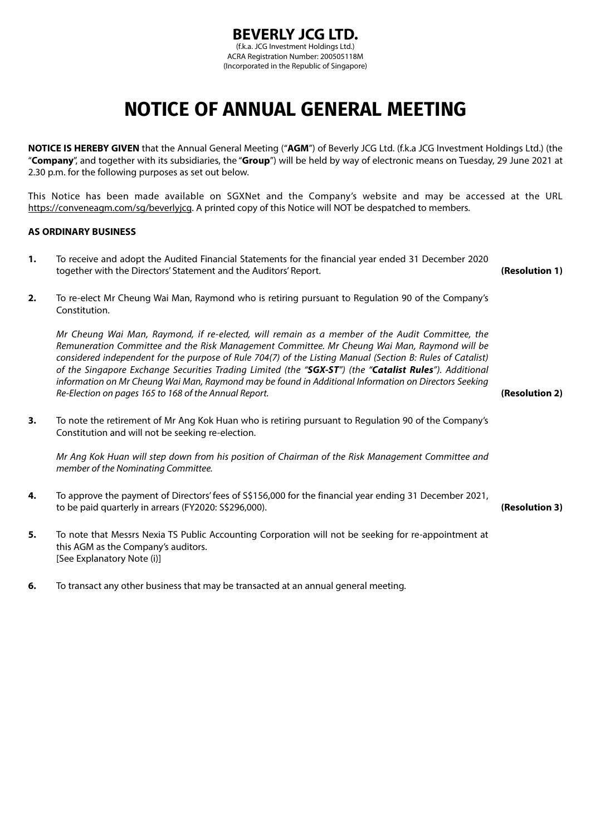# **NOTICE OF ANNUAL GENERAL MEETING**

**NOTICE IS HEREBY GIVEN** that the Annual General Meeting ("**AGM**") of Beverly JCG Ltd. (f.k.a JCG Investment Holdings Ltd.) (the "**Company**", and together with its subsidiaries, the "**Group**") will be held by way of electronic means on Tuesday, 29 June 2021 at 2.30 p.m. for the following purposes as set out below.

This Notice has been made available on SGXNet and the Company's website and may be accessed at the URL https://conveneagm.com/sg/beverlyjcg. A printed copy of this Notice will NOT be despatched to members.

### **AS ORDINARY BUSINESS**

- **1.** To receive and adopt the Audited Financial Statements for the financial year ended 31 December 2020 together with the Directors' Statement and the Auditors' Report. **(Resolution 1) 2.** To re-elect Mr Cheung Wai Man, Raymond who is retiring pursuant to Regulation 90 of the Company's Constitution. *Mr Cheung Wai Man, Raymond, if re-elected, will remain as a member of the Audit Committee, the Remuneration Committee and the Risk Management Committee. Mr Cheung Wai Man, Raymond will be considered independent for the purpose of Rule 704(7) of the Listing Manual (Section B: Rules of Catalist) of the Singapore Exchange Securities Trading Limited (the "SGX-ST") (the "Catalist Rules"). Additional information on Mr Cheung Wai Man, Raymond may be found in Additional Information on Directors Seeking Re-Election on pages 165 to 168 of the Annual Report.* **(Resolution 2) 3.** To note the retirement of Mr Ang Kok Huan who is retiring pursuant to Regulation 90 of the Company's Constitution and will not be seeking re-election. *Mr Ang Kok Huan will step down from his position of Chairman of the Risk Management Committee and member of the Nominating Committee.* **4.** To approve the payment of Directors' fees of S\$156,000 for the financial year ending 31 December 2021, to be paid quarterly in arrears (FY2020: S\$296,000). **(Resolution 3) 5.** To note that Messrs Nexia TS Public Accounting Corporation will not be seeking for re-appointment at this AGM as the Company's auditors. [See Explanatory Note (i)]
- **6.** To transact any other business that may be transacted at an annual general meeting.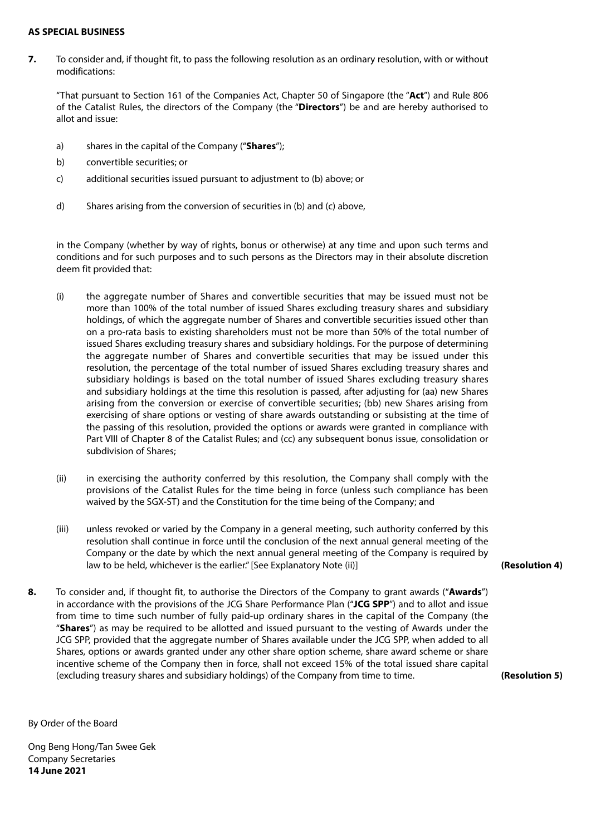#### **AS SPECIAL BUSINESS**

**7.** To consider and, if thought fit, to pass the following resolution as an ordinary resolution, with or without modifications:

"That pursuant to Section 161 of the Companies Act, Chapter 50 of Singapore (the "**Act**") and Rule 806 of the Catalist Rules, the directors of the Company (the "**Directors**") be and are hereby authorised to allot and issue:

- a) shares in the capital of the Company ("**Shares**");
- b) convertible securities; or
- c) additional securities issued pursuant to adjustment to (b) above; or
- d) Shares arising from the conversion of securities in (b) and (c) above,

in the Company (whether by way of rights, bonus or otherwise) at any time and upon such terms and conditions and for such purposes and to such persons as the Directors may in their absolute discretion deem fit provided that:

- (i) the aggregate number of Shares and convertible securities that may be issued must not be more than 100% of the total number of issued Shares excluding treasury shares and subsidiary holdings, of which the aggregate number of Shares and convertible securities issued other than on a pro-rata basis to existing shareholders must not be more than 50% of the total number of issued Shares excluding treasury shares and subsidiary holdings. For the purpose of determining the aggregate number of Shares and convertible securities that may be issued under this resolution, the percentage of the total number of issued Shares excluding treasury shares and subsidiary holdings is based on the total number of issued Shares excluding treasury shares and subsidiary holdings at the time this resolution is passed, after adjusting for (aa) new Shares arising from the conversion or exercise of convertible securities; (bb) new Shares arising from exercising of share options or vesting of share awards outstanding or subsisting at the time of the passing of this resolution, provided the options or awards were granted in compliance with Part VIII of Chapter 8 of the Catalist Rules; and (cc) any subsequent bonus issue, consolidation or subdivision of Shares;
- (ii) in exercising the authority conferred by this resolution, the Company shall comply with the provisions of the Catalist Rules for the time being in force (unless such compliance has been waived by the SGX-ST) and the Constitution for the time being of the Company; and
- (iii) unless revoked or varied by the Company in a general meeting, such authority conferred by this resolution shall continue in force until the conclusion of the next annual general meeting of the Company or the date by which the next annual general meeting of the Company is required by law to be held, whichever is the earlier." [See Explanatory Note (ii)]
- **8.** To consider and, if thought fit, to authorise the Directors of the Company to grant awards ("**Awards**") in accordance with the provisions of the JCG Share Performance Plan ("**JCG SPP**") and to allot and issue from time to time such number of fully paid-up ordinary shares in the capital of the Company (the "**Shares**") as may be required to be allotted and issued pursuant to the vesting of Awards under the JCG SPP, provided that the aggregate number of Shares available under the JCG SPP, when added to all Shares, options or awards granted under any other share option scheme, share award scheme or share incentive scheme of the Company then in force, shall not exceed 15% of the total issued share capital (excluding treasury shares and subsidiary holdings) of the Company from time to time. **(Resolution 5)**

**(Resolution 4)**

By Order of the Board

Ong Beng Hong/Tan Swee Gek Company Secretaries **14 June 2021**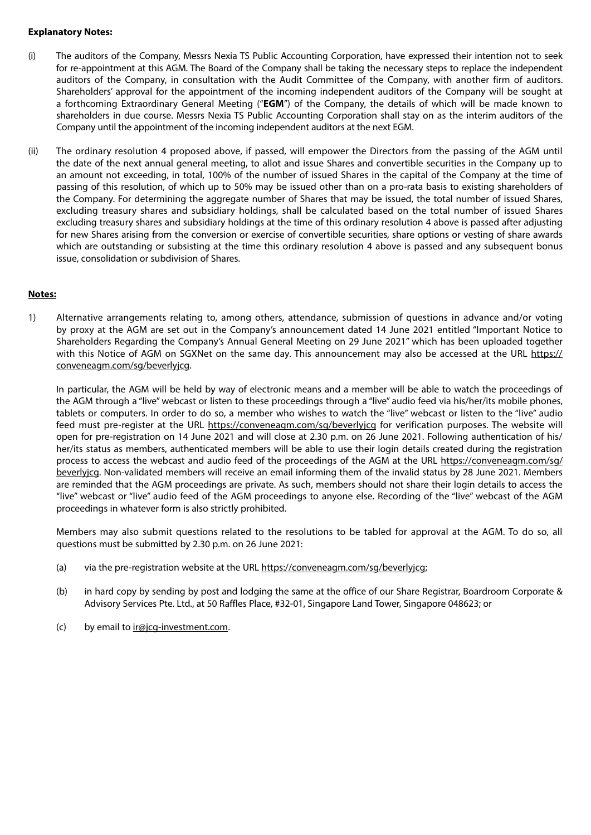#### **Explanatory Notes:**

- (i) The auditors of the Company, Messrs Nexia TS Public Accounting Corporation, have expressed their intention not to seek for re-appointment at this AGM. The Board of the Company shall be taking the necessary steps to replace the independent auditors of the Company, in consultation with the Audit Committee of the Company, with another firm of auditors. Shareholders' approval for the appointment of the incoming independent auditors of the Company will be sought at a forthcoming Extraordinary General Meeting ("**EGM**") of the Company, the details of which will be made known to shareholders in due course. Messrs Nexia TS Public Accounting Corporation shall stay on as the interim auditors of the Company until the appointment of the incoming independent auditors at the next EGM.
- (ii) The ordinary resolution 4 proposed above, if passed, will empower the Directors from the passing of the AGM until the date of the next annual general meeting, to allot and issue Shares and convertible securities in the Company up to an amount not exceeding, in total, 100% of the number of issued Shares in the capital of the Company at the time of passing of this resolution, of which up to 50% may be issued other than on a pro-rata basis to existing shareholders of the Company. For determining the aggregate number of Shares that may be issued, the total number of issued Shares, excluding treasury shares and subsidiary holdings, shall be calculated based on the total number of issued Shares excluding treasury shares and subsidiary holdings at the time of this ordinary resolution 4 above is passed after adjusting for new Shares arising from the conversion or exercise of convertible securities, share options or vesting of share awards which are outstanding or subsisting at the time this ordinary resolution 4 above is passed and any subsequent bonus issue, consolidation or subdivision of Shares.

### **Notes:**

1) Alternative arrangements relating to, among others, attendance, submission of questions in advance and/or voting by proxy at the AGM are set out in the Company's announcement dated 14 June 2021 entitled "Important Notice to Shareholders Regarding the Company's Annual General Meeting on 29 June 2021" which has been uploaded together with this Notice of AGM on SGXNet on the same day. This announcement may also be accessed at the URL https:// conveneagm.com/sg/beverlyjcg.

In particular, the AGM will be held by way of electronic means and a member will be able to watch the proceedings of the AGM through a "live" webcast or listen to these proceedings through a "live" audio feed via his/her/its mobile phones, tablets or computers. In order to do so, a member who wishes to watch the "live" webcast or listen to the "live" audio feed must pre-register at the URL https://conveneagm.com/sg/beverlyjcg for verification purposes. The website will open for pre-registration on 14 June 2021 and will close at 2.30 p.m. on 26 June 2021. Following authentication of his/ her/its status as members, authenticated members will be able to use their login details created during the registration process to access the webcast and audio feed of the proceedings of the AGM at the URL https://conveneagm.com/sg/ beverlyjcg. Non-validated members will receive an email informing them of the invalid status by 28 June 2021. Members are reminded that the AGM proceedings are private. As such, members should not share their login details to access the "live" webcast or "live" audio feed of the AGM proceedings to anyone else. Recording of the "live" webcast of the AGM proceedings in whatever form is also strictly prohibited.

Members may also submit questions related to the resolutions to be tabled for approval at the AGM. To do so, all questions must be submitted by 2.30 p.m. on 26 June 2021:

- (a) via the pre-registration website at the URL https://conveneagm.com/sg/beverlyjcg;
- (b) in hard copy by sending by post and lodging the same at the office of our Share Registrar, Boardroom Corporate & Advisory Services Pte. Ltd., at 50 Raffles Place, #32-01, Singapore Land Tower, Singapore 048623; or
- (c) by email to ir@jcg-investment.com.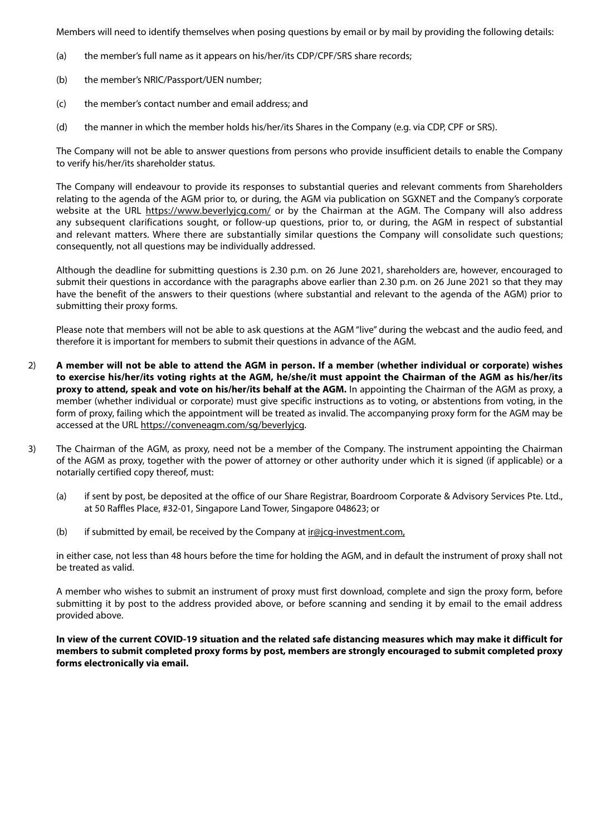Members will need to identify themselves when posing questions by email or by mail by providing the following details:

- (a) the member's full name as it appears on his/her/its CDP/CPF/SRS share records;
- (b) the member's NRIC/Passport/UEN number;
- (c) the member's contact number and email address; and
- (d) the manner in which the member holds his/her/its Shares in the Company (e.g. via CDP, CPF or SRS).

The Company will not be able to answer questions from persons who provide insufficient details to enable the Company to verify his/her/its shareholder status.

The Company will endeavour to provide its responses to substantial queries and relevant comments from Shareholders relating to the agenda of the AGM prior to, or during, the AGM via publication on SGXNET and the Company's corporate website at the URL https://www.beverlyjcg.com/ or by the Chairman at the AGM. The Company will also address any subsequent clarifications sought, or follow-up questions, prior to, or during, the AGM in respect of substantial and relevant matters. Where there are substantially similar questions the Company will consolidate such questions; consequently, not all questions may be individually addressed.

Although the deadline for submitting questions is 2.30 p.m. on 26 June 2021, shareholders are, however, encouraged to submit their questions in accordance with the paragraphs above earlier than 2.30 p.m. on 26 June 2021 so that they may have the benefit of the answers to their questions (where substantial and relevant to the agenda of the AGM) prior to submitting their proxy forms.

Please note that members will not be able to ask questions at the AGM "live" during the webcast and the audio feed, and therefore it is important for members to submit their questions in advance of the AGM.

- 2) **A member will not be able to attend the AGM in person. If a member (whether individual or corporate) wishes to exercise his/her/its voting rights at the AGM, he/she/it must appoint the Chairman of the AGM as his/her/its proxy to attend, speak and vote on his/her/its behalf at the AGM.** In appointing the Chairman of the AGM as proxy, a member (whether individual or corporate) must give specific instructions as to voting, or abstentions from voting, in the form of proxy, failing which the appointment will be treated as invalid. The accompanying proxy form for the AGM may be accessed at the URL https://conveneagm.com/sg/beverlyjcg.
- 3) The Chairman of the AGM, as proxy, need not be a member of the Company. The instrument appointing the Chairman of the AGM as proxy, together with the power of attorney or other authority under which it is signed (if applicable) or a notarially certified copy thereof, must:
	- (a) if sent by post, be deposited at the office of our Share Registrar, Boardroom Corporate & Advisory Services Pte. Ltd., at 50 Raffles Place, #32-01, Singapore Land Tower, Singapore 048623; or
	- (b) if submitted by email, be received by the Company at  $\text{ir@}$  investment.com,

in either case, not less than 48 hours before the time for holding the AGM, and in default the instrument of proxy shall not be treated as valid.

A member who wishes to submit an instrument of proxy must first download, complete and sign the proxy form, before submitting it by post to the address provided above, or before scanning and sending it by email to the email address provided above.

**In view of the current COVID-19 situation and the related safe distancing measures which may make it difficult for members to submit completed proxy forms by post, members are strongly encouraged to submit completed proxy forms electronically via email.**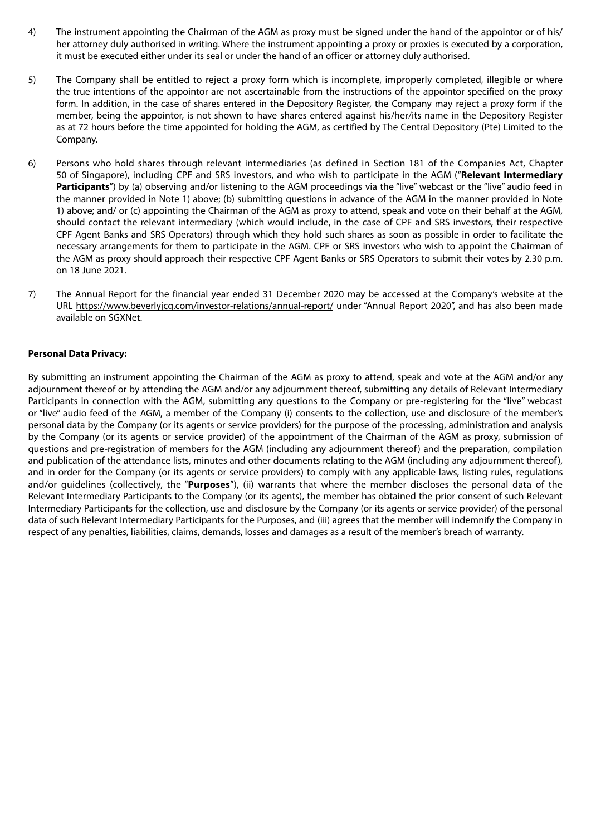- 4) The instrument appointing the Chairman of the AGM as proxy must be signed under the hand of the appointor or of his/ her attorney duly authorised in writing. Where the instrument appointing a proxy or proxies is executed by a corporation, it must be executed either under its seal or under the hand of an officer or attorney duly authorised.
- 5) The Company shall be entitled to reject a proxy form which is incomplete, improperly completed, illegible or where the true intentions of the appointor are not ascertainable from the instructions of the appointor specified on the proxy form. In addition, in the case of shares entered in the Depository Register, the Company may reject a proxy form if the member, being the appointor, is not shown to have shares entered against his/her/its name in the Depository Register as at 72 hours before the time appointed for holding the AGM, as certified by The Central Depository (Pte) Limited to the Company.
- 6) Persons who hold shares through relevant intermediaries (as defined in Section 181 of the Companies Act, Chapter 50 of Singapore), including CPF and SRS investors, and who wish to participate in the AGM ("**Relevant Intermediary**  Participants") by (a) observing and/or listening to the AGM proceedings via the "live" webcast or the "live" audio feed in the manner provided in Note 1) above; (b) submitting questions in advance of the AGM in the manner provided in Note 1) above; and/ or (c) appointing the Chairman of the AGM as proxy to attend, speak and vote on their behalf at the AGM, should contact the relevant intermediary (which would include, in the case of CPF and SRS investors, their respective CPF Agent Banks and SRS Operators) through which they hold such shares as soon as possible in order to facilitate the necessary arrangements for them to participate in the AGM. CPF or SRS investors who wish to appoint the Chairman of the AGM as proxy should approach their respective CPF Agent Banks or SRS Operators to submit their votes by 2.30 p.m. on 18 June 2021.
- 7) The Annual Report for the financial year ended 31 December 2020 may be accessed at the Company's website at the URL https://www.beverlyjcg.com/investor-relations/annual-report/ under "Annual Report 2020", and has also been made available on SGXNet.

### **Personal Data Privacy:**

By submitting an instrument appointing the Chairman of the AGM as proxy to attend, speak and vote at the AGM and/or any adjournment thereof or by attending the AGM and/or any adjournment thereof, submitting any details of Relevant Intermediary Participants in connection with the AGM, submitting any questions to the Company or pre-registering for the "live" webcast or "live" audio feed of the AGM, a member of the Company (i) consents to the collection, use and disclosure of the member's personal data by the Company (or its agents or service providers) for the purpose of the processing, administration and analysis by the Company (or its agents or service provider) of the appointment of the Chairman of the AGM as proxy, submission of questions and pre-registration of members for the AGM (including any adjournment thereof) and the preparation, compilation and publication of the attendance lists, minutes and other documents relating to the AGM (including any adjournment thereof), and in order for the Company (or its agents or service providers) to comply with any applicable laws, listing rules, regulations and/or guidelines (collectively, the "**Purposes**"), (ii) warrants that where the member discloses the personal data of the Relevant Intermediary Participants to the Company (or its agents), the member has obtained the prior consent of such Relevant Intermediary Participants for the collection, use and disclosure by the Company (or its agents or service provider) of the personal data of such Relevant Intermediary Participants for the Purposes, and (iii) agrees that the member will indemnify the Company in respect of any penalties, liabilities, claims, demands, losses and damages as a result of the member's breach of warranty.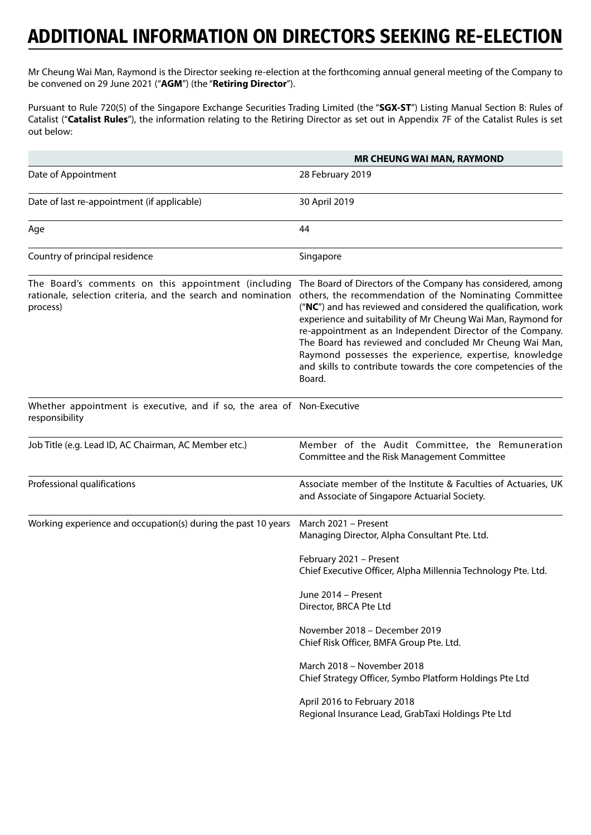Mr Cheung Wai Man, Raymond is the Director seeking re-election at the forthcoming annual general meeting of the Company to be convened on 29 June 2021 ("**AGM**") (the "**Retiring Director**").

Pursuant to Rule 720(5) of the Singapore Exchange Securities Trading Limited (the "**SGX-ST**") Listing Manual Section B: Rules of Catalist ("**Catalist Rules**"), the information relating to the Retiring Director as set out in Appendix 7F of the Catalist Rules is set out below:

|                                                                                                                                 | <b>MR CHEUNG WAI MAN, RAYMOND</b>                                                                                                                                                                                                                                                                                                                                                                                                                                                                                    |
|---------------------------------------------------------------------------------------------------------------------------------|----------------------------------------------------------------------------------------------------------------------------------------------------------------------------------------------------------------------------------------------------------------------------------------------------------------------------------------------------------------------------------------------------------------------------------------------------------------------------------------------------------------------|
| Date of Appointment                                                                                                             | 28 February 2019                                                                                                                                                                                                                                                                                                                                                                                                                                                                                                     |
| Date of last re-appointment (if applicable)                                                                                     | 30 April 2019                                                                                                                                                                                                                                                                                                                                                                                                                                                                                                        |
| Age                                                                                                                             | 44                                                                                                                                                                                                                                                                                                                                                                                                                                                                                                                   |
| Country of principal residence                                                                                                  | Singapore                                                                                                                                                                                                                                                                                                                                                                                                                                                                                                            |
| The Board's comments on this appointment (including<br>rationale, selection criteria, and the search and nomination<br>process) | The Board of Directors of the Company has considered, among<br>others, the recommendation of the Nominating Committee<br>("NC") and has reviewed and considered the qualification, work<br>experience and suitability of Mr Cheung Wai Man, Raymond for<br>re-appointment as an Independent Director of the Company.<br>The Board has reviewed and concluded Mr Cheung Wai Man,<br>Raymond possesses the experience, expertise, knowledge<br>and skills to contribute towards the core competencies of the<br>Board. |
| Whether appointment is executive, and if so, the area of Non-Executive<br>responsibility                                        |                                                                                                                                                                                                                                                                                                                                                                                                                                                                                                                      |
| Job Title (e.g. Lead ID, AC Chairman, AC Member etc.)                                                                           | Member of the Audit Committee, the Remuneration<br>Committee and the Risk Management Committee                                                                                                                                                                                                                                                                                                                                                                                                                       |
| Professional qualifications                                                                                                     | Associate member of the Institute & Faculties of Actuaries, UK<br>and Associate of Singapore Actuarial Society.                                                                                                                                                                                                                                                                                                                                                                                                      |
| Working experience and occupation(s) during the past 10 years                                                                   | March 2021 - Present<br>Managing Director, Alpha Consultant Pte. Ltd.                                                                                                                                                                                                                                                                                                                                                                                                                                                |
|                                                                                                                                 | February 2021 - Present<br>Chief Executive Officer, Alpha Millennia Technology Pte. Ltd.                                                                                                                                                                                                                                                                                                                                                                                                                             |
|                                                                                                                                 | June 2014 – Present<br>Director, BRCA Pte Ltd                                                                                                                                                                                                                                                                                                                                                                                                                                                                        |
|                                                                                                                                 | November 2018 - December 2019<br>Chief Risk Officer, BMFA Group Pte. Ltd.                                                                                                                                                                                                                                                                                                                                                                                                                                            |
|                                                                                                                                 | March 2018 - November 2018<br>Chief Strategy Officer, Symbo Platform Holdings Pte Ltd                                                                                                                                                                                                                                                                                                                                                                                                                                |
|                                                                                                                                 | April 2016 to February 2018<br>Regional Insurance Lead, GrabTaxi Holdings Pte Ltd                                                                                                                                                                                                                                                                                                                                                                                                                                    |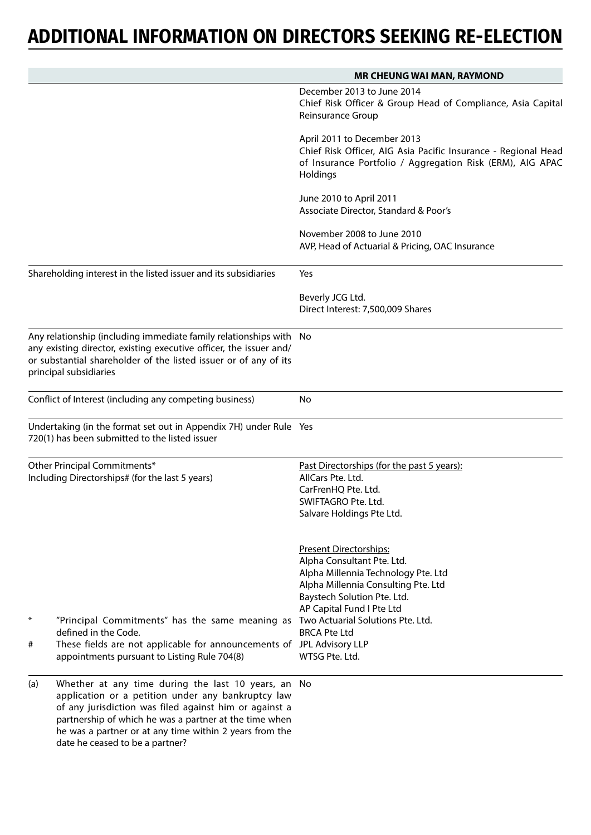|                                                                                 |                                                                                                                                                                                                                                        | <b>MR CHEUNG WAI MAN, RAYMOND</b>                                                                                                                                                                                                                                            |
|---------------------------------------------------------------------------------|----------------------------------------------------------------------------------------------------------------------------------------------------------------------------------------------------------------------------------------|------------------------------------------------------------------------------------------------------------------------------------------------------------------------------------------------------------------------------------------------------------------------------|
|                                                                                 |                                                                                                                                                                                                                                        | December 2013 to June 2014<br>Chief Risk Officer & Group Head of Compliance, Asia Capital<br>Reinsurance Group                                                                                                                                                               |
|                                                                                 |                                                                                                                                                                                                                                        | April 2011 to December 2013<br>Chief Risk Officer, AIG Asia Pacific Insurance - Regional Head<br>of Insurance Portfolio / Aggregation Risk (ERM), AIG APAC<br>Holdings                                                                                                       |
|                                                                                 |                                                                                                                                                                                                                                        | June 2010 to April 2011<br>Associate Director, Standard & Poor's                                                                                                                                                                                                             |
|                                                                                 |                                                                                                                                                                                                                                        | November 2008 to June 2010<br>AVP, Head of Actuarial & Pricing, OAC Insurance                                                                                                                                                                                                |
|                                                                                 | Shareholding interest in the listed issuer and its subsidiaries                                                                                                                                                                        | Yes                                                                                                                                                                                                                                                                          |
|                                                                                 |                                                                                                                                                                                                                                        | Beverly JCG Ltd.<br>Direct Interest: 7,500,009 Shares                                                                                                                                                                                                                        |
|                                                                                 | Any relationship (including immediate family relationships with No<br>any existing director, existing executive officer, the issuer and/<br>or substantial shareholder of the listed issuer or of any of its<br>principal subsidiaries |                                                                                                                                                                                                                                                                              |
|                                                                                 | Conflict of Interest (including any competing business)                                                                                                                                                                                | No                                                                                                                                                                                                                                                                           |
|                                                                                 | Undertaking (in the format set out in Appendix 7H) under Rule Yes<br>720(1) has been submitted to the listed issuer                                                                                                                    |                                                                                                                                                                                                                                                                              |
| Other Principal Commitments*<br>Including Directorships# (for the last 5 years) |                                                                                                                                                                                                                                        | Past Directorships (for the past 5 years):<br>AllCars Pte. Ltd.<br>CarFrenHQ Pte. Ltd.<br>SWIFTAGRO Pte. Ltd.<br>Salvare Holdings Pte Ltd.                                                                                                                                   |
| ∗<br>#                                                                          | "Principal Commitments" has the same meaning as<br>defined in the Code.<br>These fields are not applicable for announcements of JPL Advisory LLP<br>appointments pursuant to Listing Rule 704(8)                                       | Present Directorships:<br>Alpha Consultant Pte. Ltd.<br>Alpha Millennia Technology Pte. Ltd<br>Alpha Millennia Consulting Pte. Ltd<br>Baystech Solution Pte. Ltd.<br>AP Capital Fund I Pte Ltd<br>Two Actuarial Solutions Pte. Ltd.<br><b>BRCA Pte Ltd</b><br>WTSG Pte. Ltd. |
| (a)                                                                             | Whether at any time during the last 10 years, an No<br>application or a petition under any bankruptcy law<br>of any jurisdiction was filed against him or against a                                                                    |                                                                                                                                                                                                                                                                              |

partnership of which he was a partner at the time when he was a partner or at any time within 2 years from the date he ceased to be a partner?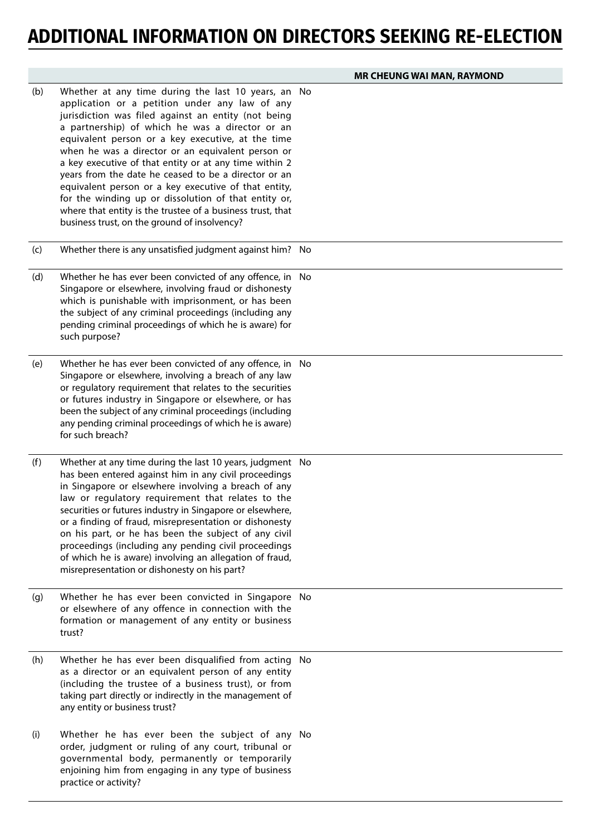|     |                                                                                                                                                                                                                                                                                                                                                                                                                                                                                                                                                                                                                                                                           | <b>MR CHEUNG WAI MAN, RAYMOND</b> |
|-----|---------------------------------------------------------------------------------------------------------------------------------------------------------------------------------------------------------------------------------------------------------------------------------------------------------------------------------------------------------------------------------------------------------------------------------------------------------------------------------------------------------------------------------------------------------------------------------------------------------------------------------------------------------------------------|-----------------------------------|
| (b) | Whether at any time during the last 10 years, an No<br>application or a petition under any law of any<br>jurisdiction was filed against an entity (not being<br>a partnership) of which he was a director or an<br>equivalent person or a key executive, at the time<br>when he was a director or an equivalent person or<br>a key executive of that entity or at any time within 2<br>years from the date he ceased to be a director or an<br>equivalent person or a key executive of that entity,<br>for the winding up or dissolution of that entity or,<br>where that entity is the trustee of a business trust, that<br>business trust, on the ground of insolvency? |                                   |
| (c) | Whether there is any unsatisfied judgment against him? No                                                                                                                                                                                                                                                                                                                                                                                                                                                                                                                                                                                                                 |                                   |
| (d) | Whether he has ever been convicted of any offence, in No<br>Singapore or elsewhere, involving fraud or dishonesty<br>which is punishable with imprisonment, or has been<br>the subject of any criminal proceedings (including any<br>pending criminal proceedings of which he is aware) for<br>such purpose?                                                                                                                                                                                                                                                                                                                                                              |                                   |
| (e) | Whether he has ever been convicted of any offence, in No<br>Singapore or elsewhere, involving a breach of any law<br>or regulatory requirement that relates to the securities<br>or futures industry in Singapore or elsewhere, or has<br>been the subject of any criminal proceedings (including<br>any pending criminal proceedings of which he is aware)<br>for such breach?                                                                                                                                                                                                                                                                                           |                                   |
| (f) | Whether at any time during the last 10 years, judgment No<br>has been entered against him in any civil proceedings<br>in Singapore or elsewhere involving a breach of any<br>law or regulatory requirement that relates to the<br>securities or futures industry in Singapore or elsewhere,<br>or a finding of fraud, misrepresentation or dishonesty<br>on his part, or he has been the subject of any civil<br>proceedings (including any pending civil proceedings<br>of which he is aware) involving an allegation of fraud,<br>misrepresentation or dishonesty on his part?                                                                                          |                                   |
| (g) | Whether he has ever been convicted in Singapore No<br>or elsewhere of any offence in connection with the<br>formation or management of any entity or business<br>trust?                                                                                                                                                                                                                                                                                                                                                                                                                                                                                                   |                                   |
| (h) | Whether he has ever been disqualified from acting No<br>as a director or an equivalent person of any entity<br>(including the trustee of a business trust), or from<br>taking part directly or indirectly in the management of<br>any entity or business trust?                                                                                                                                                                                                                                                                                                                                                                                                           |                                   |
| (i) | Whether he has ever been the subject of any No<br>order, judgment or ruling of any court, tribunal or<br>governmental body, permanently or temporarily<br>enjoining him from engaging in any type of business<br>practice or activity?                                                                                                                                                                                                                                                                                                                                                                                                                                    |                                   |